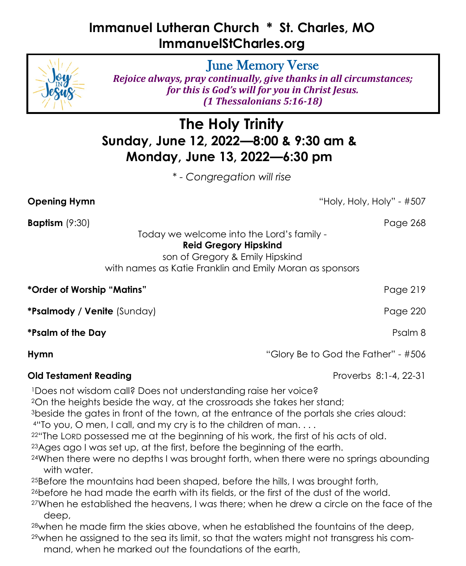## **Immanuel Lutheran Church \* St. Charles, MO ImmanuelStCharles.org**



June Memory Verse

*Rejoice always, pray continually, give thanks in all circumstances; for this is God's will for you in Christ Jesus. (1 Thessalonians 5:16-18)*

# **The Holy Trinity Sunday, June 12, 2022—8:00 & 9:30 am & Monday, June 13, 2022—6:30 pm**

*\* - Congregation will rise*

**Baptism** (9:30) Page 268

**Opening Hymn** "Holy, Holy, Holy" - #507

Today we welcome into the Lord's family -

#### **Reid Gregory Hipskind**

son of Gregory & Emily Hipskind with names as Katie Franklin and Emily Moran as sponsors

**\*Order of Worship "Matins"** Page 219 **\*Psalmody / Venite** (Sunday) Page 220 **\*Psalm of the Day** Psalm 8 **Hymn** "Glory Be to God the Father" - #506 **Old Testament Reading Proverbs 8:1-4, 22-31** <sup>1</sup>Does not wisdom call? Does not understanding raise her voice? <sup>2</sup>On the heights beside the way, at the crossroads she takes her stand; <sup>3</sup>beside the gates in front of the town, at the entrance of the portals she cries aloud: 4"To you, O men, I call, and my cry is to the children of man....  $22^{\mu}$ The LORD possessed me at the beginning of his work, the first of his acts of old.

<sup>23</sup>Ages ago I was set up, at the first, before the beginning of the earth.

<sup>24</sup>When there were no depths I was brought forth, when there were no springs abounding with water.

<sup>25</sup>Before the mountains had been shaped, before the hills, I was brought forth, <sup>26</sup>before he had made the earth with its fields, or the first of the dust of the world.

<sup>27</sup>When he established the heavens, I was there; when he drew a circle on the face of the deep,

<sup>28</sup>when he made firm the skies above, when he established the fountains of the deep, 29when he assigned to the sea its limit, so that the waters might not transgress his com-

mand, when he marked out the foundations of the earth,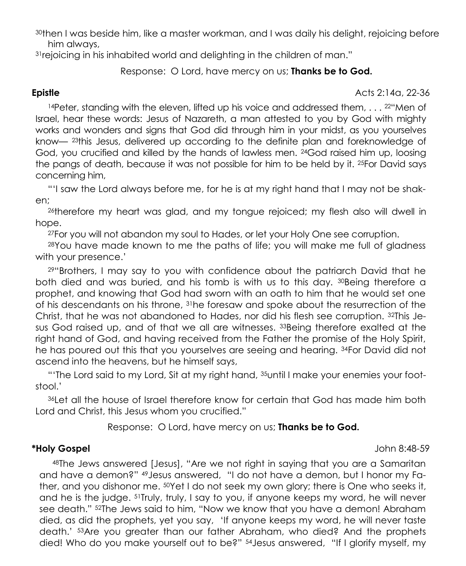30then I was beside him, like a master workman, and I was daily his delight, rejoicing before him always,

<sup>31</sup>rejoicing in his inhabited world and delighting in the children of man."

Response: O Lord, have mercy on us; **Thanks be to God.**

**Epistle** Acts 2:14a, 22-36

<sup>14</sup>Peter, standing with the eleven, lifted up his voice and addressed them,  $\ldots$  . <sup>22"</sup> Men of Israel, hear these words: Jesus of Nazareth, a man attested to you by God with mighty works and wonders and signs that God did through him in your midst, as you yourselves know— <sup>23</sup>this Jesus, delivered up according to the definite plan and foreknowledge of God, you crucified and killed by the hands of lawless men. 24God raised him up, loosing the pangs of death, because it was not possible for him to be held by it. <sup>25</sup>For David says concerning him,

"'I saw the Lord always before me, for he is at my right hand that I may not be shaken;

<sup>26</sup>therefore my heart was glad, and my tongue rejoiced; my flesh also will dwell in hope.

<sup>27</sup>For you will not abandon my soul to Hades, or let your Holy One see corruption.

<sup>28</sup>You have made known to me the paths of life; you will make me full of gladness with your presence.'

<sup>29</sup>"Brothers, I may say to you with confidence about the patriarch David that he both died and was buried, and his tomb is with us to this day. 30Being therefore a prophet, and knowing that God had sworn with an oath to him that he would set one of his descendants on his throne, 31he foresaw and spoke about the resurrection of the Christ, that he was not abandoned to Hades, nor did his flesh see corruption. 32This Jesus God raised up, and of that we all are witnesses. 33Being therefore exalted at the right hand of God, and having received from the Father the promise of the Holy Spirit, he has poured out this that you yourselves are seeing and hearing. 34For David did not ascend into the heavens, but he himself says,

"'The Lord said to my Lord, Sit at my right hand, 35 until I make your enemies your footstool.'

<sup>36</sup>Let all the house of Israel therefore know for certain that God has made him both Lord and Christ, this Jesus whom you crucified."

Response: O Lord, have mercy on us; **Thanks be to God.**

### **\*Holy Gospel** John 8:48-59

<sup>48</sup>The Jews answered [Jesus], "Are we not right in saying that you are a Samaritan and have a demon?" 49Jesus answered, "I do not have a demon, but I honor my Father, and you dishonor me. 50Yet I do not seek my own glory; there is One who seeks it, and he is the judge. 51Truly, truly, I say to you, if anyone keeps my word, he will never see death." 52The Jews said to him, "Now we know that you have a demon! Abraham died, as did the prophets, yet you say, 'If anyone keeps my word, he will never taste death.' 53Are you greater than our father Abraham, who died? And the prophets died! Who do you make yourself out to be?" 54Jesus answered, "If I glorify myself, my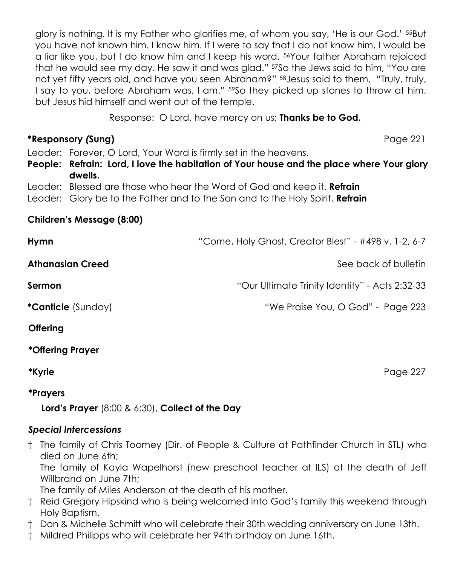glory is nothing. It is my Father who glorifies me, of whom you say, 'He is our God.' 55But you have not known him. I know him. If I were to say that I do not know him, I would be a liar like you, but I do know him and I keep his word. 56Your father Abraham rejoiced that he would see my day. He saw it and was glad." 57So the Jews said to him, "You are not yet fifty years old, and have you seen Abraham?" 58Jesus said to them, "Truly, truly, I say to you, before Abraham was, I am." 59So they picked up stones to throw at him, but Jesus hid himself and went out of the temple.

Response: O Lord, have mercy on us; **Thanks be to God.**

#### **\*Responsory** *(***Sung)** Page 221

Leader: Forever, O Lord, Your Word is firmly set in the heavens.

**People: Refrain: Lord, I love the habitation of Your house and the place where Your glory dwells.**

- Leader: Blessed are those who hear the Word of God and keep it. **Refrain**
- Leader: Glory be to the Father and to the Son and to the Holy Spirit. **Refrain**

### **Children's Message (8:00)**

| Hymn                             | "Come, Holy Ghost, Creator Blest" - #498 v. 1-2, 6-7 |
|----------------------------------|------------------------------------------------------|
| <b>Athanasian Creed</b>          | See back of bulletin                                 |
| Sermon                           | "Our Ultimate Trinity Identity" - Acts 2:32-33       |
| <i><b>*Canticle (Sunday)</b></i> | "We Praise You, O God" - Page 223                    |
| <b>Offering</b>                  |                                                      |
| *Offering Prayer                 |                                                      |
| *Kyrie                           | Page 227                                             |

### **\*Prayers**

 **Lord's Prayer** (8:00 & 6:30), **Collect of the Day**

### *Special Intercessions*

† The family of Chris Toomey (Dir. of People & Culture at Pathfinder Church in STL) who died on June 6th;

The family of Kayla Wapelhorst (new preschool teacher at ILS) at the death of Jeff Willbrand on June 7th;

The family of Miles Anderson at the death of his mother.

- † Reid Gregory Hipskind who is being welcomed into God's family this weekend through Holy Baptism.
- † Don & Michelle Schmitt who will celebrate their 30th wedding anniversary on June 13th.
- † Mildred Philipps who will celebrate her 94th birthday on June 16th.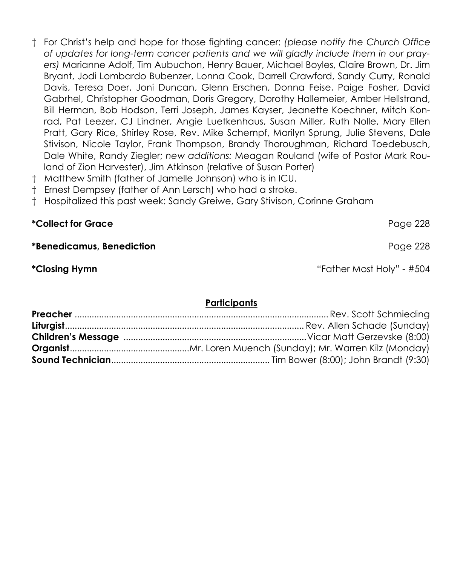- † For Christ's help and hope for those fighting cancer: *(please notify the Church Office of updates for long-term cancer patients and we will gladly include them in our prayers)* Marianne Adolf, Tim Aubuchon, Henry Bauer, Michael Boyles, Claire Brown, Dr. Jim Bryant, Jodi Lombardo Bubenzer, Lonna Cook, Darrell Crawford, Sandy Curry, Ronald Davis, Teresa Doer, Joni Duncan, Glenn Erschen, Donna Feise, Paige Fosher, David Gabrhel, Christopher Goodman, Doris Gregory, Dorothy Hallemeier, Amber Hellstrand, Bill Herman, Bob Hodson, Terri Joseph, James Kayser, Jeanette Koechner, Mitch Konrad, Pat Leezer, CJ Lindner, Angie Luetkenhaus, Susan Miller, Ruth Nolle, Mary Ellen Pratt, Gary Rice, Shirley Rose, Rev. Mike Schempf, Marilyn Sprung, Julie Stevens, Dale Stivison, Nicole Taylor, Frank Thompson, Brandy Thoroughman, Richard Toedebusch, Dale White, Randy Ziegler; *new additions:* Meagan Rouland (wife of Pastor Mark Rouland of Zion Harvester), Jim Atkinson (relative of Susan Porter)
- † Matthew Smith (father of Jamelle Johnson) who is in ICU.
- † Ernest Dempsey (father of Ann Lersch) who had a stroke.
- † Hospitalized this past week: Sandy Greiwe, Gary Stivison, Corinne Graham

| <i><b>*Collect for Grace</b></i> | Page 228                  |
|----------------------------------|---------------------------|
| *Benedicamus, Benediction        | Page 228                  |
| <i><b>*Closing Hymn</b></i>      | "Father Most Holy" - #504 |

#### **Participants**

| <b>Children's Message manufacture and Children's Message manufacture (8:00)</b> |
|---------------------------------------------------------------------------------|
|                                                                                 |
|                                                                                 |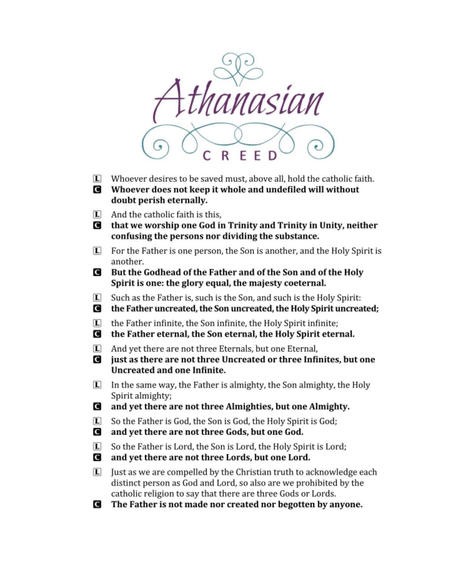

- [ Whoever desires to be saved must, above all, hold the catholic faith.
- Whoever does not keep it whole and undefiled will without doubt perish eternally.
- $\mathbf{L}$ And the catholic faith is this.
- **G** that we worship one God in Trinity and Trinity in Unity, neither confusing the persons nor dividing the substance.
- $\mathbf{L}$ For the Father is one person, the Son is another, and the Holy Spirit is another.
- **But the Godhead of the Father and of the Son and of the Holy** Spirit is one: the glory equal, the majesty coeternal.
- $\Box$ Such as the Father is, such is the Son, and such is the Holy Spirit:
- **G** the Father uncreated, the Son uncreated, the Holy Spirit uncreated;
- $\boxed{\mathbf{L}}$ the Father infinite, the Son infinite, the Holy Spirit infinite;
- C the Father eternal, the Son eternal, the Holy Spirit eternal.
- $\Box$ And yet there are not three Eternals, but one Eternal,
- **G** just as there are not three Uncreated or three Infinites, but one **Uncreated and one Infinite.**
- $\Box$  In the same way, the Father is almighty, the Son almighty, the Holy Spirit almighty;
- and yet there are not three Almighties, but one Almighty.
- $\mathbf{L}$ So the Father is God, the Son is God, the Holy Spirit is God;
- and yet there are not three Gods, but one God. G
- $\mathbf{L}$ So the Father is Lord, the Son is Lord, the Holy Spirit is Lord;
- G and yet there are not three Lords, but one Lord.
- $\boxed{\mathbf{L}}$ Just as we are compelled by the Christian truth to acknowledge each distinct person as God and Lord, so also are we prohibited by the catholic religion to say that there are three Gods or Lords.
- The Father is not made nor created nor begotten by anyone.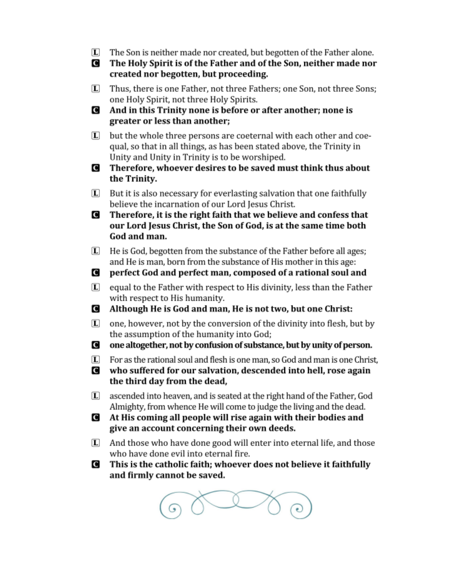- $\Box$  The Son is neither made nor created, but begotten of the Father alone.
- **G** The Holy Spirit is of the Father and of the Son, neither made nor created nor begotten, but proceeding.
- [L] Thus, there is one Father, not three Fathers; one Son, not three Sons; one Holy Spirit, not three Holy Spirits.
- **And in this Trinity none is before or after another; none is** greater or less than another;
- $\mathbf{L}$  but the whole three persons are coeternal with each other and coequal, so that in all things, as has been stated above, the Trinity in Unity and Unity in Trinity is to be worshiped.
- **C** Therefore, whoever desires to be saved must think thus about the Trinity.
- $\mathbb{L}$  But it is also necessary for everlasting salvation that one faithfully believe the incarnation of our Lord Jesus Christ.
- Therefore, it is the right faith that we believe and confess that our Lord Jesus Christ, the Son of God, is at the same time both God and man.
- $\Box$  He is God, begotten from the substance of the Father before all ages; and He is man, born from the substance of His mother in this age:
- **C** perfect God and perfect man, composed of a rational soul and
- $\Box$  equal to the Father with respect to His divinity, less than the Father with respect to His humanity.
- Although He is God and man, He is not two, but one Christ:
- $\Box$  one, however, not by the conversion of the divinity into flesh, but by the assumption of the humanity into God;
- **G** one altogether, not by confusion of substance, but by unity of person.
- $\Box$  For as the rational soul and flesh is one man, so God and man is one Christ.
- **I** who suffered for our salvation, descended into hell, rose again the third day from the dead,
- $\boxed{\mathbf{L}}$ ascended into heaven, and is seated at the right hand of the Father, God Almighty, from whence He will come to judge the living and the dead.
- At His coming all people will rise again with their bodies and give an account concerning their own deeds.
- $\boxed{\mathbf{L}}$  And those who have done good will enter into eternal life, and those who have done evil into eternal fire.
- **G** This is the catholic faith; whoever does not believe it faithfully and firmly cannot be saved.